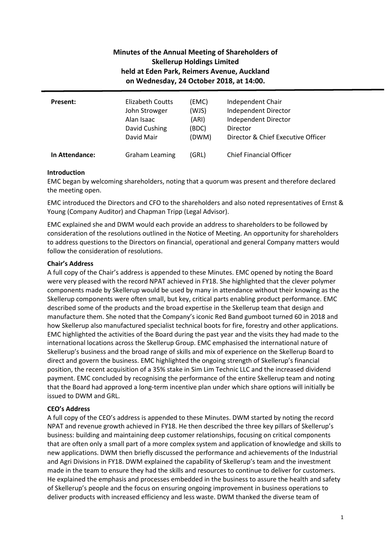# **Minutes of the Annual Meeting of Shareholders of Skellerup Holdings Limited held at Eden Park, Reimers Avenue, Auckland on Wednesday, 24 October 2018, at 14:00.**

| Present:       | Elizabeth Coutts      | (EMC) | Independent Chair                  |
|----------------|-----------------------|-------|------------------------------------|
|                | John Strowger         | (WJS) | Independent Director               |
|                | Alan Isaac            | (ARI) | Independent Director               |
|                | David Cushing         | (BDC) | Director                           |
|                | David Mair            | (DWM) | Director & Chief Executive Officer |
| In Attendance: | <b>Graham Leaming</b> | 'GRL) | <b>Chief Financial Officer</b>     |

# **Introduction**

EMC began by welcoming shareholders, noting that a quorum was present and therefore declared the meeting open.

EMC introduced the Directors and CFO to the shareholders and also noted representatives of Ernst & Young (Company Auditor) and Chapman Tripp (Legal Advisor).

EMC explained she and DWM would each provide an address to shareholders to be followed by consideration of the resolutions outlined in the Notice of Meeting. An opportunity for shareholders to address questions to the Directors on financial, operational and general Company matters would follow the consideration of resolutions.

# **Chair's Address**

A full copy of the Chair's address is appended to these Minutes. EMC opened by noting the Board were very pleased with the record NPAT achieved in FY18. She highlighted that the clever polymer components made by Skellerup would be used by many in attendance without their knowing as the Skellerup components were often small, but key, critical parts enabling product performance. EMC described some of the products and the broad expertise in the Skellerup team that design and manufacture them. She noted that the Company's iconic Red Band gumboot turned 60 in 2018 and how Skellerup also manufactured specialist technical boots for fire, forestry and other applications. EMC highlighted the activities of the Board during the past year and the visits they had made to the international locations across the Skellerup Group. EMC emphasised the international nature of Skellerup's business and the broad range of skills and mix of experience on the Skellerup Board to direct and govern the business. EMC highlighted the ongoing strength of Skellerup's financial position, the recent acquisition of a 35% stake in Sim Lim Technic LLC and the increased dividend payment. EMC concluded by recognising the performance of the entire Skellerup team and noting that the Board had approved a long-term incentive plan under which share options will initially be issued to DWM and GRL.

# **CEO's Address**

A full copy of the CEO's address is appended to these Minutes. DWM started by noting the record NPAT and revenue growth achieved in FY18. He then described the three key pillars of Skellerup's business: building and maintaining deep customer relationships, focusing on critical components that are often only a small part of a more complex system and application of knowledge and skills to new applications. DWM then briefly discussed the performance and achievements of the Industrial and Agri Divisions in FY18. DWM explained the capability of Skellerup's team and the investment made in the team to ensure they had the skills and resources to continue to deliver for customers. He explained the emphasis and processes embedded in the business to assure the health and safety of Skellerup's people and the focus on ensuring ongoing improvement in business operations to deliver products with increased efficiency and less waste. DWM thanked the diverse team of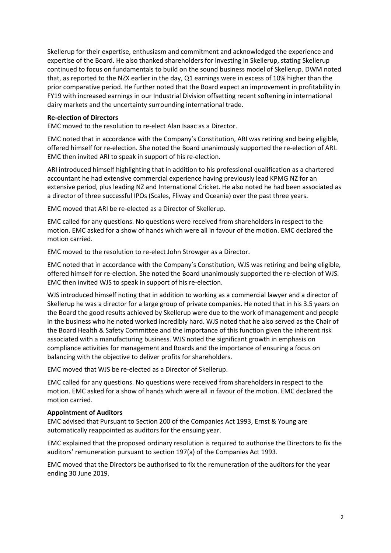Skellerup for their expertise, enthusiasm and commitment and acknowledged the experience and expertise of the Board. He also thanked shareholders for investing in Skellerup, stating Skellerup continued to focus on fundamentals to build on the sound business model of Skellerup. DWM noted that, as reported to the NZX earlier in the day, Q1 earnings were in excess of 10% higher than the prior comparative period. He further noted that the Board expect an improvement in profitability in FY19 with increased earnings in our Industrial Division offsetting recent softening in international dairy markets and the uncertainty surrounding international trade.

### **Re-election of Directors**

EMC moved to the resolution to re-elect Alan Isaac as a Director.

EMC noted that in accordance with the Company's Constitution, ARI was retiring and being eligible, offered himself for re-election. She noted the Board unanimously supported the re-election of ARI. EMC then invited ARI to speak in support of his re-election.

ARI introduced himself highlighting that in addition to his professional qualification as a chartered accountant he had extensive commercial experience having previously lead KPMG NZ for an extensive period, plus leading NZ and International Cricket. He also noted he had been associated as a director of three successful IPOs (Scales, Fliway and Oceania) over the past three years.

EMC moved that ARI be re-elected as a Director of Skellerup.

EMC called for any questions. No questions were received from shareholders in respect to the motion. EMC asked for a show of hands which were all in favour of the motion. EMC declared the motion carried.

EMC moved to the resolution to re-elect John Strowger as a Director.

EMC noted that in accordance with the Company's Constitution, WJS was retiring and being eligible, offered himself for re-election. She noted the Board unanimously supported the re-election of WJS. EMC then invited WJS to speak in support of his re-election.

WJS introduced himself noting that in addition to working as a commercial lawyer and a director of Skellerup he was a director for a large group of private companies. He noted that in his 3.5 years on the Board the good results achieved by Skellerup were due to the work of management and people in the business who he noted worked incredibly hard. WJS noted that he also served as the Chair of the Board Health & Safety Committee and the importance of this function given the inherent risk associated with a manufacturing business. WJS noted the significant growth in emphasis on compliance activities for management and Boards and the importance of ensuring a focus on balancing with the objective to deliver profits for shareholders.

EMC moved that WJS be re-elected as a Director of Skellerup.

EMC called for any questions. No questions were received from shareholders in respect to the motion. EMC asked for a show of hands which were all in favour of the motion. EMC declared the motion carried.

### **Appointment of Auditors**

EMC advised that Pursuant to Section 200 of the Companies Act 1993, Ernst & Young are automatically reappointed as auditors for the ensuing year.

EMC explained that the proposed ordinary resolution is required to authorise the Directors to fix the auditors' remuneration pursuant to section 197(a) of the Companies Act 1993.

EMC moved that the Directors be authorised to fix the remuneration of the auditors for the year ending 30 June 2019.